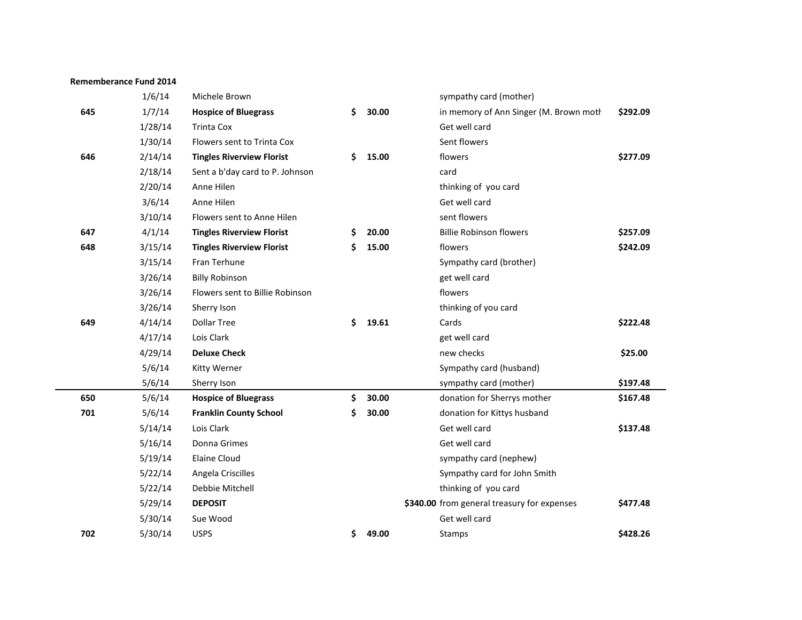|     | 1/6/14  | Michele Brown                    |             | sympathy card (mother)                      |          |
|-----|---------|----------------------------------|-------------|---------------------------------------------|----------|
| 645 | 1/7/14  | <b>Hospice of Bluegrass</b>      | \$<br>30.00 | in memory of Ann Singer (M. Brown moth      | \$292.09 |
|     | 1/28/14 | <b>Trinta Cox</b>                |             | Get well card                               |          |
|     | 1/30/14 | Flowers sent to Trinta Cox       |             | Sent flowers                                |          |
| 646 | 2/14/14 | <b>Tingles Riverview Florist</b> | \$<br>15.00 | flowers                                     | \$277.09 |
|     | 2/18/14 | Sent a b'day card to P. Johnson  |             | card                                        |          |
|     | 2/20/14 | Anne Hilen                       |             | thinking of you card                        |          |
|     | 3/6/14  | Anne Hilen                       |             | Get well card                               |          |
|     | 3/10/14 | Flowers sent to Anne Hilen       |             | sent flowers                                |          |
| 647 | 4/1/14  | <b>Tingles Riverview Florist</b> | \$<br>20.00 | <b>Billie Robinson flowers</b>              | \$257.09 |
| 648 | 3/15/14 | <b>Tingles Riverview Florist</b> | \$<br>15.00 | flowers                                     | \$242.09 |
|     | 3/15/14 | Fran Terhune                     |             | Sympathy card (brother)                     |          |
|     | 3/26/14 | <b>Billy Robinson</b>            |             | get well card                               |          |
|     | 3/26/14 | Flowers sent to Billie Robinson  |             | flowers                                     |          |
|     | 3/26/14 | Sherry Ison                      |             | thinking of you card                        |          |
| 649 | 4/14/14 | <b>Dollar Tree</b>               | \$<br>19.61 | Cards                                       | \$222.48 |
|     | 4/17/14 | Lois Clark                       |             | get well card                               |          |
|     | 4/29/14 | <b>Deluxe Check</b>              |             | new checks                                  | \$25.00  |
|     | 5/6/14  | <b>Kitty Werner</b>              |             | Sympathy card (husband)                     |          |
|     | 5/6/14  | Sherry Ison                      |             | sympathy card (mother)                      | \$197.48 |
| 650 | 5/6/14  | <b>Hospice of Bluegrass</b>      | \$<br>30.00 | donation for Sherrys mother                 | \$167.48 |
| 701 | 5/6/14  | <b>Franklin County School</b>    | \$<br>30.00 | donation for Kittys husband                 |          |
|     | 5/14/14 | Lois Clark                       |             | Get well card                               | \$137.48 |
|     | 5/16/14 | Donna Grimes                     |             | Get well card                               |          |
|     | 5/19/14 | <b>Elaine Cloud</b>              |             | sympathy card (nephew)                      |          |
|     | 5/22/14 | Angela Criscilles                |             | Sympathy card for John Smith                |          |
|     | 5/22/14 | Debbie Mitchell                  |             | thinking of you card                        |          |
|     | 5/29/14 | <b>DEPOSIT</b>                   |             | \$340.00 from general treasury for expenses | \$477.48 |
|     | 5/30/14 | Sue Wood                         |             | Get well card                               |          |
| 702 | 5/30/14 | <b>USPS</b>                      | \$<br>49.00 | Stamps                                      | \$428.26 |

**Rememberance Fund 2014**

 $\sim$